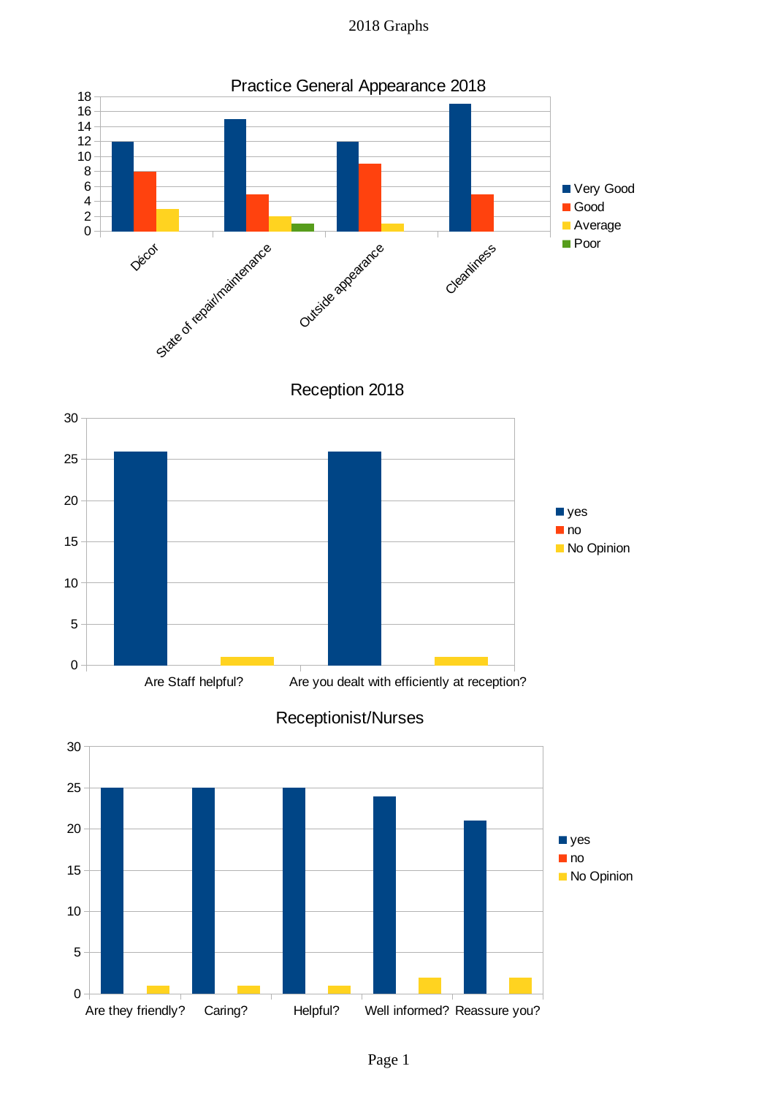2018 Graphs